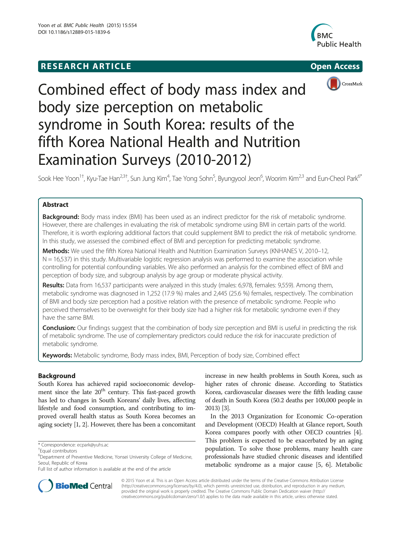## **RESEARCH ARTICLE Example 2014 12:30 The SEAR CHIPS 2014 12:30 The Open Access**





CrossMark

# Combined effect of body mass index and body size perception on metabolic syndrome in South Korea: results of the fifth Korea National Health and Nutrition Examination Surveys (2010-2012)

Sook Hee Yoon<sup>1+</sup>, Kyu-Tae Han<sup>2,3+</sup>, Sun Jung Kim<sup>4</sup>, Tae Yong Sohn<sup>5</sup>, Byungyool Jeon<sup>6</sup>, Woorim Kim<sup>2,3</sup> and Eun-Cheol Park<sup>6\*</sup>

## Abstract

Background: Body mass index (BMI) has been used as an indirect predictor for the risk of metabolic syndrome. However, there are challenges in evaluating the risk of metabolic syndrome using BMI in certain parts of the world. Therefore, it is worth exploring additional factors that could supplement BMI to predict the risk of metabolic syndrome. In this study, we assessed the combined effect of BMI and perception for predicting metabolic syndrome.

Methods: We used the fifth Korea National Health and Nutrition Examination Surveys (KNHANES V, 2010-12,  $N = 16,537$ ) in this study. Multivariable logistic regression analysis was performed to examine the association while controlling for potential confounding variables. We also performed an analysis for the combined effect of BMI and perception of body size, and subgroup analysis by age group or moderate physical activity.

Results: Data from 16,537 participants were analyzed in this study (males: 6,978, females: 9,559). Among them, metabolic syndrome was diagnosed in 1,252 (17.9 %) males and 2,445 (25.6 %) females, respectively. The combination of BMI and body size perception had a positive relation with the presence of metabolic syndrome. People who perceived themselves to be overweight for their body size had a higher risk for metabolic syndrome even if they have the same BMI.

**Conclusion:** Our findings suggest that the combination of body size perception and BMI is useful in predicting the risk of metabolic syndrome. The use of complementary predictors could reduce the risk for inaccurate prediction of metabolic syndrome.

Keywords: Metabolic syndrome, Body mass index, BMI, Perception of body size, Combined effect

## Background

South Korea has achieved rapid socioeconomic development since the late  $20<sup>th</sup>$  century. This fast-paced growth has led to changes in South Koreans' daily lives, affecting lifestyle and food consumption, and contributing to improved overall health status as South Korea becomes an aging society [[1](#page-14-0), [2\]](#page-14-0). However, there has been a concomitant

increase in new health problems in South Korea, such as higher rates of chronic disease. According to Statistics Korea, cardiovascular diseases were the fifth leading cause of death in South Korea (50.2 deaths per 100,000 people in 2013) [\[3](#page-14-0)].

In the 2013 Organization for Economic Co-operation and Development (OECD) Health at Glance report, South Korea compares poorly with other OECD countries [[4](#page-14-0)]. This problem is expected to be exacerbated by an aging population. To solve those problems, many health care professionals have studied chronic diseases and identified metabolic syndrome as a major cause [\[5](#page-14-0), [6\]](#page-14-0). Metabolic



© 2015 Yoon et al. This is an Open Access article distributed under the terms of the Creative Commons Attribution License [\(http://creativecommons.org/licenses/by/4.0\)](http://creativecommons.org/licenses/by/4.0), which permits unrestricted use, distribution, and reproduction in any medium, provided the original work is properly credited. The Creative Commons Public Domain Dedication waiver [\(http://](http://creativecommons.org/publicdomain/zero/1.0/) [creativecommons.org/publicdomain/zero/1.0/\)](http://creativecommons.org/publicdomain/zero/1.0/) applies to the data made available in this article, unless otherwise stated.

<sup>\*</sup> Correspondence: [ecpark@yuhs.ac](mailto:ecpark@yuhs.ac) †

Equal contributors

<sup>&</sup>lt;sup>6</sup>Department of Preventive Medicine, Yonsei University College of Medicine, Seoul, Republic of Korea

Full list of author information is available at the end of the article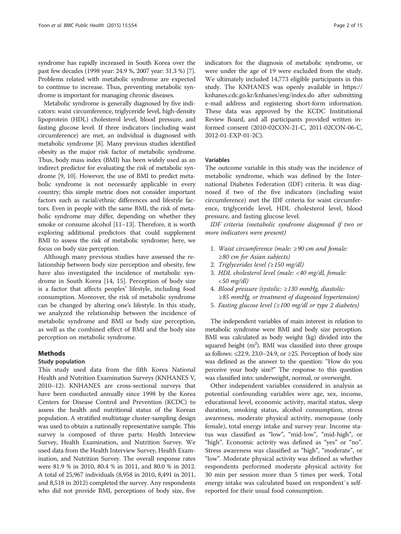syndrome has rapidly increased in South Korea over the past few decades (1998 year: 24.9 %, 2007 year: 31.3 %) [[7](#page-14-0)]. Problems related with metabolic syndrome are expected to continue to increase. Thus, preventing metabolic syndrome is important for managing chronic diseases.

Metabolic syndrome is generally diagnosed by five indicators: waist circumference, triglyceride level, high-density lipoprotein (HDL) cholesterol level, blood pressure, and fasting glucose level. If three indicators (including waist circumference) are met, an individual is diagnosed with metabolic syndrome [\[8\]](#page-14-0). Many previous studies identified obesity as the major risk factor of metabolic syndrome. Thus, body mass index (BMI) has been widely used as an indirect predictor for evaluating the risk of metabolic syndrome [\[9](#page-14-0), [10](#page-14-0)]. However, the use of BMI to predict metabolic syndrome is not necessarily applicable in every country; this simple metric does not consider important factors such as racial/ethnic differences and lifestyle factors. Even in people with the same BMI, the risk of metabolic syndrome may differ, depending on whether they smoke or consume alcohol [\[11](#page-14-0)–[13](#page-14-0)]. Therefore, it is worth exploring additional predictors that could supplement BMI to assess the risk of metabolic syndrome; here, we focus on body size perception.

Although many previous studies have assessed the relationship between body size perception and obesity, few have also investigated the incidence of metabolic syndrome in South Korea [[14](#page-14-0), [15](#page-14-0)]. Perception of body size is a factor that affects peoples' lifestyle, including food consumption. Moreover, the risk of metabolic syndrome can be changed by altering one's lifestyle. In this study, we analyzed the relationship between the incidence of metabolic syndrome and BMI or body size perception, as well as the combined effect of BMI and the body size perception on metabolic syndrome.

### Methods

## Study population

This study used data from the fifth Korea National Health and Nutrition Examination Surveys (KNHANES V, 2010–12). KNHANES are cross-sectional surveys that have been conducted annually since 1998 by the Korea Centers for Disease Control and Prevention (KCDC) to assess the health and nutritional status of the Korean population. A stratified multistage cluster-sampling design was used to obtain a nationally representative sample. This survey is composed of three parts: Health Interview Survey, Health Examination, and Nutrition Survey. We used data from the Health Interview Survey, Health Examination, and Nutrition Survey. The overall response rates were 81.9 % in 2010, 80.4 % in 2011, and 80.0 % in 2012. A total of 25,967 individuals (8,958 in 2010, 8,491 in 2011, and 8,518 in 2012) completed the survey. Any respondents who did not provide BMI, perceptions of body size, five indicators for the diagnosis of metabolic syndrome, or were under the age of 19 were excluded from the study. We ultimately included 14,773 eligible participants in this study. The KNHANES was openly available in [https://](https://knhanes.cdc.go.kr/knhanes/eng/index.do) [knhanes.cdc.go.kr/knhanes/eng/index.do](https://knhanes.cdc.go.kr/knhanes/eng/index.do) after submitting e-mail address and registering short-form information. These data was approved by the KCDC Institutional Review Board, and all participants provided written informed consent (2010-02CON-21-C, 2011-02CON-06-C, 2012-01-EXP-01-2C).

#### Variables

The outcome variable in this study was the incidence of metabolic syndrome, which was defined by the International Diabetes Federation (IDF) criteria. It was diagnosed if two of the five indicators (including waist circumference) met the IDF criteria for waist circumference, triglyceride level, HDL cholesterol level, blood pressure, and fasting glucose level.

IDF criteria (metabolic syndrome diagnosed if two or more indicators were present)

- 1. Waist circumference (male:  $\geq 90$  cm and female: ≥80 cm for Asian subjects)
- 2. Triglycerides level  $(\geq 150 \text{ mg}/dl)$
- 3. HDL cholesterol level (male: <40 mg/dl, female: <50 mg/dl)
- 4. Blood pressure (systolic: ≥130 mmHg, diastolic: ≥85 mmHg, or treatment of diagnosed hypertension)
- 5. Fasting glucose level ( $\geq$ 100 mg/dl or type 2 diabetes)

The independent variables of main interest in relation to metabolic syndrome were BMI and body size perception. BMI was calculated as body weight (kg) divided into the squared height  $(m^2)$ . BMI was classified into three groups as follows:  $\leq$ 22.9, 23.0–24.9, or  $\geq$ 25. Perception of body size was defined as the answer to the question: "How do you perceive your body size?" The response to this question was classified into: underweight, normal, or overweight.

Other independent variables considered in analysis as potential confounding variables were age, sex, income, educational level, economic activity, marital status, sleep duration, smoking status, alcohol consumption, stress awareness, moderate physical activity, menopause (only female), total energy intake and survey year. Income status was classified as "low", "mid-low", "mid-high", or "high". Economic activity was defined as "yes" or "no". Stress awareness was classified as "high", "moderate", or "low". Moderate physical activity was defined as whether respondents performed moderate physical activity for 30 min per session more than 5 times per week. Total energy intake was calculated based on respondent`s selfreported for their usual food consumption.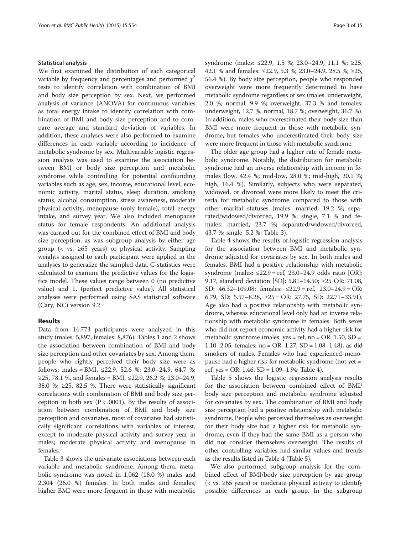#### Statistical analysis

We first examined the distribution of each categorical variable by frequency and percentages and performed  $\chi^2$ tests to identify correlation with combination of BMI and body size perception by sex. Next, we performed analysis of variance (ANOVA) for continuous variables as total energy intake to identify correlation with combination of BMI and body size perception and to compare average and standard deviation of variables. In addition, these analyses were also performed to examine differences in each variable according to incidence of metabolic syndrome by sex. Multivariable logistic regression analysis was used to examine the association between BMI or body size perception and metabolic syndrome while controlling for potential confounding variables such as age, sex, income, educational level, economic activity, marital status, sleep duration, smoking status, alcohol consumption, stress awareness, moderate physical activity, menopause (only female), total energy intake, and survey year. We also included menopause status for female respondents. An additional analysis was carried out for the combined effect of BMI and body size perception, as was subgroup analysis by either age group ( $\langle$  vs.  $\geq 65$  years) or physical activity. Sampling weights assigned to each participant were applied in the analyses to generalize the sampled data. C-statistics were calculated to examine the predictive values for the logistics model. These values range between 0 (no predictive value) and 1, (perfect predictive value). All statistical analyses were performed using SAS statistical software (Cary, NC) version 9.2.

## Results

Data from 14,773 participants were analyzed in this study (males: 5,897, females: 8,876). Tables [1](#page-3-0) and [2](#page-5-0) shows the association between combination of BMI and body size perception and other covariates by sex. Among them, people who rightly perceived their body size were as follows: males = BMI,  $\leq$ 22.9, 52.6 %; 23.0–24.9, 64.7 %; ≥25, 78.1 %, and females = BMI, ≤22.9, 26.2 %; 23.0–24.9, 38.0 %; ≥25, 82.5 %. There were statistically significant correlations with combination of BMI and body size perception in both sex  $(P < .0001)$ . By the results of association between combination of BMI and body size perception and covariates, most of covariates had statistically significant correlations with variables of interest, except to moderate physical activity and survey year in males; moderate physical activity and menopause in females.

Table [3](#page-7-0) shows the univariate associations between each variable and metabolic syndrome. Among them, metabolic syndrome was noted in 1,062 (18.0 %) males and 2,304 (26.0 %) females. In both males and females, higher BMI were more frequent in those with metabolic syndrome (males: ≤22.9, 1.5 %; 23.0–24.9, 11.1 %; ≥25, 42.1 % and females: ≤22.9, 5.3 %; 23.0–24.9, 28.5 %; ≥25, 56.4 %). By body size perception, people who responded overweight were more frequently determined to have metabolic syndrome regardless of sex (males: underweight, 2.0 %; normal, 9.9 %; overweight, 37.3 % and females: underweight, 12.7 %; normal, 18.7 %; overweight, 36.7 %). In addition, males who overestimated their body size than BMI were more frequent in those with metabolic syndrome, but females who underestimated their body size were more frequent in those with metabolic syndrome.

The older age group had a higher rate of female metabolic syndrome. Notably, the distribution for metabolic syndrome had an inverse relationship with income in females (low, 42.4 %; mid-low, 28.0 %; mid-high, 20.1 %; high, 16.4 %). Similarly, subjects who were separated, widowed, or divorced were more likely to meet the criteria for metabolic syndrome compared to those with other marital statuses (males: married, 19.2 %; separated/widowed/divorced, 19.9 %; single, 7.1 % and females: married, 23.7 %; separated/widowed/divorced, 43.7 %; single, 5.2 %; Table [3\)](#page-7-0).

Table [4](#page-9-0) shows the results of logistic regression analysis for the association between BMI and metabolic syndrome adjusted for covariates by sex. In both males and females, BMI had a positive relationship with metabolic syndrome (males: ≤22.9 = ref, 23.0–24.9 odds ratio [OR]: 9.17, standard deviation [SD]: 5.81–14.50; ≥25 OR: 71.08, SD: 46.32–109.08; females: ≤22.9 = ref, 23.0–24.9 = OR: 6.79, SD:  $5.57-8.28$ ,  $\geq 25 = \text{OR: } 27.75$ , SD:  $22.71-33.91$ ). Age also had a positive relationship with metabolic syndrome, whereas educational level only had an inverse relationship with metabolic syndrome in females. Both sexes who did not report economic activity had a higher risk for metabolic syndrome (males: yes = ref, no = OR:  $1.50$ , SD = 1.10–2.05; females: no = OR: 1.27, SD = 1.08–1.48), as did smokers of males. Females who had experienced menopause had a higher risk for metabolic syndrome (not yet = ref, yes = OR: 1.46, SD = 1.09–1.94; Table [4](#page-9-0)).

Table [5](#page-11-0) shows the logistic regression analysis results for the association between combined effect of BMI/ body size perception and metabolic syndrome adjusted for covariates by sex. The combination of BMI and body size perception had a positive relationship with metabolic syndrome. People who perceived themselves as overweight for their body size had a higher risk for metabolic syndrome, even if they had the same BMI as a person who did not consider themselves overweight. The results of other controlling variables had similar values and trends as the results listed in Table [4](#page-9-0) (Table [5](#page-11-0)).

We also performed subgroup analysis for the combined effect of BMI/body size perception by age group (< vs. ≥65 years) or moderate physical activity to identify possible differences in each group. In the subgroup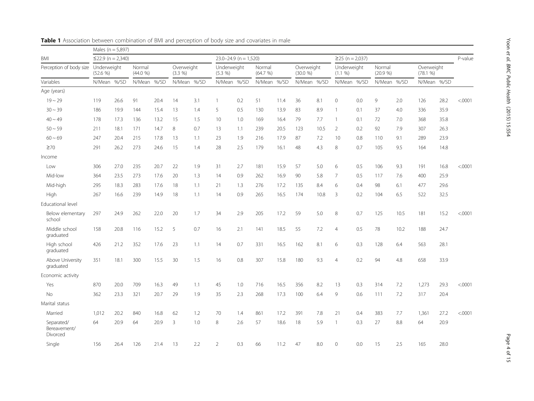|                                        | Males ( $n = 5,897$ )   |      |                    |      |                       |     |                           |     |                    |      |                        |      |                        |     |                    |      |                        |      |         |
|----------------------------------------|-------------------------|------|--------------------|------|-----------------------|-----|---------------------------|-----|--------------------|------|------------------------|------|------------------------|-----|--------------------|------|------------------------|------|---------|
| <b>BMI</b>                             | $\leq$ 22.9 (n = 2,340) |      |                    |      |                       |     | $23.0 - 24.9$ (n = 1,520) |     |                    |      |                        |      | $≥25$ (n = 2,037)      |     |                    |      |                        |      | P-value |
| Perception of body size                | Underweight<br>(52.6 %) |      | Normal<br>(44.0 %) |      | Overweight<br>(3.3 %) |     | Underweight<br>(5.3 %)    |     | Normal<br>(64.7 %) |      | Overweight<br>(30.0 %) |      | Underweight<br>(1.1 %) |     | Normal<br>(20.9 %) |      | Overweight<br>(78.1 %) |      |         |
| Variables                              | N/Mean %/SD             |      | N/Mean %/SD        |      | N/Mean %/SD           |     | N/Mean %/SD               |     | N/Mean %/SD        |      | N/Mean %/SD            |      | N/Mean %/SD            |     | N/Mean %/SD        |      | N/Mean %/SD            |      |         |
| Age (years)                            |                         |      |                    |      |                       |     |                           |     |                    |      |                        |      |                        |     |                    |      |                        |      |         |
| $19 - 29$                              | 119                     | 26.6 | 91                 | 20.4 | 14                    | 3.1 | $\mathbf{1}$              | 0.2 | 51                 | 11.4 | 36                     | 8.1  | $\Omega$               | 0.0 | 9                  | 2.0  | 126                    | 28.2 | < .0001 |
| $30 - 39$                              | 186                     | 19.9 | 144                | 15.4 | 13                    | 1.4 | 5                         | 0.5 | 130                | 13.9 | 83                     | 8.9  | 1                      | 0.1 | 37                 | 4.0  | 336                    | 35.9 |         |
| $40 \sim 49$                           | 178                     | 17.3 | 136                | 13.2 | 15                    | 1.5 | 10                        | 1.0 | 169                | 16.4 | 79                     | 7.7  | 1                      | 0.1 | 72                 | 7.0  | 368                    | 35.8 |         |
| $50 - 59$                              | 211                     | 18.1 | 171                | 14.7 | 8                     | 0.7 | 13                        | 1.1 | 239                | 20.5 | 123                    | 10.5 | 2                      | 0.2 | 92                 | 7.9  | 307                    | 26.3 |         |
| $60 - 69$                              | 247                     | 20.4 | 215                | 17.8 | 13                    | 1.1 | 23                        | 1.9 | 216                | 17.9 | 87                     | 7.2  | 10                     | 0.8 | 110                | 9.1  | 289                    | 23.9 |         |
| $\geq 70$                              | 291                     | 26.2 | 273                | 24.6 | 15                    | 1.4 | 28                        | 2.5 | 179                | 16.1 | 48                     | 4.3  | 8                      | 0.7 | 105                | 9.5  | 164                    | 14.8 |         |
| Income                                 |                         |      |                    |      |                       |     |                           |     |                    |      |                        |      |                        |     |                    |      |                        |      |         |
| Low                                    | 306                     | 27.0 | 235                | 20.7 | 22                    | 1.9 | 31                        | 2.7 | 181                | 15.9 | 57                     | 5.0  | 6                      | 0.5 | 106                | 9.3  | 191                    | 16.8 | < .0001 |
| Mid-low                                | 364                     | 23.5 | 273                | 17.6 | 20                    | 1.3 | 14                        | 0.9 | 262                | 16.9 | 90                     | 5.8  | 7                      | 0.5 | 117                | 7.6  | 400                    | 25.9 |         |
| Mid-high                               | 295                     | 18.3 | 283                | 17.6 | 18                    | 1.1 | 21                        | 1.3 | 276                | 17.2 | 135                    | 8.4  | 6                      | 0.4 | 98                 | 6.1  | 477                    | 29.6 |         |
| High                                   | 267                     | 16.6 | 239                | 14.9 | 18                    | 1.1 | 14                        | 0.9 | 265                | 16.5 | 174                    | 10.8 | 3                      | 0.2 | 104                | 6.5  | 522                    | 32.5 |         |
| Educational level                      |                         |      |                    |      |                       |     |                           |     |                    |      |                        |      |                        |     |                    |      |                        |      |         |
| Below elementary<br>school             | 297                     | 24.9 | 262                | 22.0 | 20                    | 1.7 | 34                        | 2.9 | 205                | 17.2 | 59                     | 5.0  | 8                      | 0.7 | 125                | 10.5 | 181                    | 15.2 | < .0001 |
| Middle school<br>graduated             | 158                     | 20.8 | 116                | 15.2 | 5                     | 0.7 | 16                        | 2.1 | 141                | 18.5 | 55                     | 7.2  | $\overline{4}$         | 0.5 | 78                 | 10.2 | 188                    | 24.7 |         |
| High school<br>graduated               | 426                     | 21.2 | 352                | 17.6 | 23                    | 1.1 | 14                        | 0.7 | 331                | 16.5 | 162                    | 8.1  | 6                      | 0.3 | 128                | 6.4  | 563                    | 28.1 |         |
| Above University<br>graduated          | 351                     | 18.1 | 300                | 15.5 | 30                    | 1.5 | 16                        | 0.8 | 307                | 15.8 | 180                    | 9.3  | $\overline{4}$         | 0.2 | 94                 | 4.8  | 658                    | 33.9 |         |
| Economic activity                      |                         |      |                    |      |                       |     |                           |     |                    |      |                        |      |                        |     |                    |      |                        |      |         |
| Yes                                    | 870                     | 20.0 | 709                | 16.3 | 49                    | 1.1 | 45                        | 1.0 | 716                | 16.5 | 356                    | 8.2  | 13                     | 0.3 | 314                | 7.2  | 1,273                  | 29.3 | < .0001 |
| No                                     | 362                     | 23.3 | 321                | 20.7 | 29                    | 1.9 | 35                        | 2.3 | 268                | 17.3 | 100                    | 6.4  | 9                      | 0.6 | 111                | 7.2  | 317                    | 20.4 |         |
| Marital status                         |                         |      |                    |      |                       |     |                           |     |                    |      |                        |      |                        |     |                    |      |                        |      |         |
| Married                                | 1,012                   | 20.2 | 840                | 16.8 | 62                    | 1.2 | 70                        | 1.4 | 861                | 17.2 | 391                    | 7.8  | 21                     | 0.4 | 383                | 7.7  | 1,361                  | 27.2 | < .0001 |
| Separated/<br>Bereavement/<br>Divorced | 64                      | 20.9 | 64                 | 20.9 | 3                     | 1.0 | 8                         | 2.6 | 57                 | 18.6 | 18                     | 5.9  | 1                      | 0.3 | 27                 | 8.8  | 64                     | 20.9 |         |
| Single                                 | 156                     | 26.4 | 126                | 21.4 | 13                    | 2.2 | $\overline{2}$            | 0.3 | 66                 | 11.2 | 47                     | 8.0  | $\circ$                | 0.0 | 15                 | 2.5  | 165                    | 28.0 |         |

<span id="page-3-0"></span>Table 1 Association between combination of BMI and perception of body size and covariates in male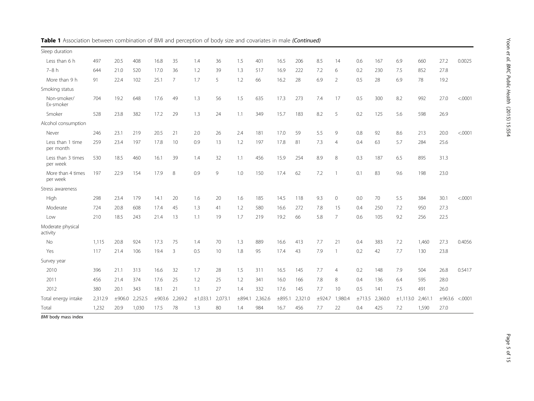|  | Table 1 Association between combination of BMI and perception of body size and covariates in male (Continued) |  |  |  |  |
|--|---------------------------------------------------------------------------------------------------------------|--|--|--|--|
|  |                                                                                                               |  |  |  |  |

| Sleep duration                |         |             |         |        |         |          |         |        |         |        |         |        |                |        |         |          |         |        |         |
|-------------------------------|---------|-------------|---------|--------|---------|----------|---------|--------|---------|--------|---------|--------|----------------|--------|---------|----------|---------|--------|---------|
| Less than 6 h                 | 497     | 20.5        | 408     | 16.8   | 35      | 1.4      | 36      | 1.5    | 401     | 16.5   | 206     | 8.5    | 14             | 0.6    | 167     | 6.9      | 660     | 27.2   | 0.0025  |
| 7-8 h                         | 644     | 21.0        | 520     | 17.0   | 36      | 1.2      | 39      | 1.3    | 517     | 16.9   | 222     | 7.2    | 6              | 0.2    | 230     | 7.5      | 852     | 27.8   |         |
| More than 9 h                 | 91      | 22.4        | 102     | 25.1   | 7       | 1.7      | 5       | 1.2    | 66      | 16.2   | 28      | 6.9    | 2              | 0.5    | 28      | 6.9      | 78      | 19.2   |         |
| Smoking status                |         |             |         |        |         |          |         |        |         |        |         |        |                |        |         |          |         |        |         |
| Non-smoker/<br>Ex-smoker      | 704     | 19.2        | 648     | 17.6   | 49      | 1.3      | 56      | 1.5    | 635     | 17.3   | 273     | 7.4    | 17             | 0.5    | 300     | 8.2      | 992     | 27.0   | < .0001 |
| Smoker                        | 528     | 23.8        | 382     | 17.2   | 29      | 1.3      | 24      | 1.1    | 349     | 15.7   | 183     | 8.2    | 5              | 0.2    | 125     | 5.6      | 598     | 26.9   |         |
| Alcohol consumption           |         |             |         |        |         |          |         |        |         |        |         |        |                |        |         |          |         |        |         |
| Never                         | 246     | 23.1        | 219     | 20.5   | 21      | 2.0      | 26      | 2.4    | 181     | 17.0   | 59      | 5.5    | 9              | 0.8    | 92      | 8.6      | 213     | 20.0   | < .0001 |
| Less than 1 time<br>per month | 259     | 23.4        | 197     | 17.8   | 10      | 0.9      | 13      | 1.2    | 197     | 17.8   | 81      | 7.3    | $\overline{4}$ | 0.4    | 63      | 5.7      | 284     | 25.6   |         |
| Less than 3 times<br>per week | 530     | 18.5        | 460     | 16.1   | 39      | 1.4      | 32      | 1.1    | 456     | 15.9   | 254     | 8.9    | 8              | 0.3    | 187     | 6.5      | 895     | 31.3   |         |
| More than 4 times<br>per week | 197     | 22.9        | 154     | 17.9   | 8       | 0.9      | 9       | 1.0    | 150     | 17.4   | 62      | 7.2    |                | 0.1    | 83      | 9.6      | 198     | 23.0   |         |
| Stress awareness              |         |             |         |        |         |          |         |        |         |        |         |        |                |        |         |          |         |        |         |
| High                          | 298     | 23.4        | 179     | 14.1   | 20      | 1.6      | 20      | 1.6    | 185     | 14.5   | 118     | 9.3    | $\circ$        | 0.0    | 70      | 5.5      | 384     | 30.1   | < .0001 |
| Moderate                      | 724     | 20.8        | 608     | 17.4   | 45      | 1.3      | 41      | 1.2    | 580     | 16.6   | 272     | 7.8    | 15             | 0.4    | 250     | 7.2      | 950     | 27.3   |         |
| Low                           | 210     | 18.5        | 243     | 21.4   | 13      | 1.1      | 19      | 1.7    | 219     | 19.2   | 66      | 5.8    | $\overline{7}$ | 0.6    | 105     | 9.2      | 256     | 22.5   |         |
| Moderate physical<br>activity |         |             |         |        |         |          |         |        |         |        |         |        |                |        |         |          |         |        |         |
| No                            | 1,115   | 20.8        | 924     | 17.3   | 75      | 1.4      | 70      | 1.3    | 889     | 16.6   | 413     | 7.7    | 21             | 0.4    | 383     | 7.2      | 1.460   | 27.3   | 0.4056  |
| Yes                           | 117     | 21.4        | 106     | 19.4   | 3       | 0.5      | 10      | 1.8    | 95      | 17.4   | 43      | 7.9    | $\overline{1}$ | 0.2    | 42      | 7.7      | 130     | 23.8   |         |
| Survey year                   |         |             |         |        |         |          |         |        |         |        |         |        |                |        |         |          |         |        |         |
| 2010                          | 396     | 21.1        | 313     | 16.6   | 32      | 1.7      | 28      | 1.5    | 311     | 16.5   | 145     | 7.7    | $\overline{4}$ | 0.2    | 148     | 7.9      | 504     | 26.8   | 0.5417  |
| 2011                          | 456     | 21.4        | 374     | 17.6   | 25      | 1.2      | 25      | 1.2    | 341     | 16.0   | 166     | 7.8    | 8              | 0.4    | 136     | 6.4      | 595     | 28.0   |         |
| 2012                          | 380     | 20.1        | 343     | 18.1   | 21      | 1.1      | 27      | 1.4    | 332     | 17.6   | 145     | 7.7    | 10             | 0.5    | 141     | 7.5      | 491     | 26.0   |         |
| Total energy intake           | 2,312.9 | $\pm 906.0$ | 2.252.5 | ±903.6 | 2.269.2 | ±1,033.1 | 2.073.1 | ±894.1 | 2,362.6 | ±895.1 | 2,321.0 | ±924.7 | 1.980.4        | ±713.5 | 2,360.0 | ±1.113.0 | 2,461.1 | ±963.6 | < .0001 |
| Total                         | 1,232   | 20.9        | 1,030   | 17.5   | 78      | 1.3      | 80      | 1.4    | 984     | 16.7   | 456     | 7.7    | 22             | 0.4    | 425     | 7.2      | 1,590   | 27.0   |         |

**BMI** body mass index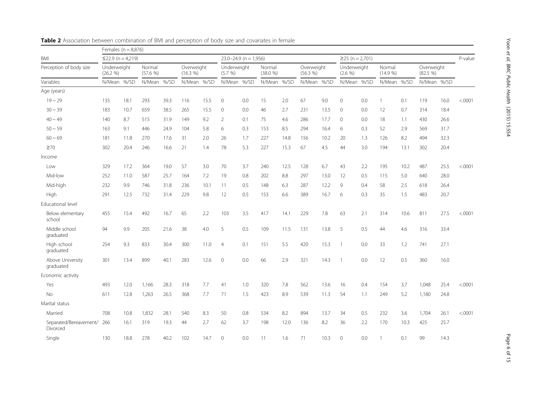|                                    | Females ( $n = 8,876$ ) |      |                    |      |                        |      |                           |      |                    |       |                        |      |                        |     |                  |      |                        |      |         |
|------------------------------------|-------------------------|------|--------------------|------|------------------------|------|---------------------------|------|--------------------|-------|------------------------|------|------------------------|-----|------------------|------|------------------------|------|---------|
| BMI                                | $\leq$ 22.9 (n = 4,219) |      |                    |      |                        |      | $23.0 - 24.9$ (n = 1,956) |      |                    |       |                        |      | $\geq$ 25 (n = 2,701)  |     |                  |      |                        |      | P-value |
| Perception of body size            | Underweight<br>(26.2 %) |      | Normal<br>(57.6 %) |      | Overweight<br>(16.3 %) |      | Underweight<br>(5.7 %)    |      | Normal<br>(38.0 %) |       | Overweight<br>(56.3 %) |      | Underweight<br>(2.6 %) |     | Normal<br>(14.9% |      | Overweight<br>(82.5 %) |      |         |
| Variables                          | N/Mean                  | %/SD | N/Mean %/SD        |      | N/Mean %/SD            |      | N/Mean                    | %/SD | N/Mean             | % /SD | N/Mean %/SD            |      | N/Mean %/SD            |     | N/Mean %/SD      |      | N/Mean                 | %/SD |         |
| Age (years)                        |                         |      |                    |      |                        |      |                           |      |                    |       |                        |      |                        |     |                  |      |                        |      |         |
| $19 - 29$                          | 135                     | 18.1 | 293                | 39.3 | 116                    | 15.5 | $\mathbf 0$               | 0.0  | 15                 | 2.0   | 67                     | 9.0  | $\mathbf 0$            | 0.0 | $\mathbf{1}$     | 0.1  | 119                    | 16.0 | < .0001 |
| $30 \sim 39$                       | 183                     | 10.7 | 659                | 38.5 | 265                    | 15.5 | $\mathbf{0}$              | 0.0  | 46                 | 2.7   | 231                    | 13.5 | $\overline{0}$         | 0.0 | 12               | 0.7  | 314                    | 18.4 |         |
| $40 \sim 49$                       | 140                     | 8.7  | 515                | 31.9 | 149                    | 9.2  | 2                         | 0.1  | 75                 | 4.6   | 286                    | 17.7 | $\mathbf{0}$           | 0.0 | 18               | 1.1  | 430                    | 26.6 |         |
| $50 \sim 59$                       | 163                     | 9.1  | 446                | 24.9 | 104                    | 5.8  | 6                         | 0.3  | 153                | 8.5   | 294                    | 16.4 | 6                      | 0.3 | 52               | 2.9  | 569                    | 31.7 |         |
| $60 - 69$                          | 181                     | 11.8 | 270                | 17.6 | 31                     | 2.0  | 26                        | 1.7  | 227                | 14.8  | 156                    | 10.2 | 20                     | 1.3 | 126              | 8.2  | 494                    | 32.3 |         |
| $\geq 70$                          | 302                     | 20.4 | 246                | 16.6 | 21                     | 1.4  | 78                        | 5.3  | 227                | 15.3  | 67                     | 4.5  | 44                     | 3.0 | 194              | 13.1 | 302                    | 20.4 |         |
| Income                             |                         |      |                    |      |                        |      |                           |      |                    |       |                        |      |                        |     |                  |      |                        |      |         |
| Low                                | 329                     | 17.2 | 364                | 19.0 | 57                     | 3.0  | 70                        | 3.7  | 240                | 12.5  | 128                    | 6.7  | 43                     | 2.2 | 195              | 10.2 | 487                    | 25.5 | < .0001 |
| Mid-low                            | 252                     | 11.0 | 587                | 25.7 | 164                    | 7.2  | 19                        | 0.8  | 202                | 8.8   | 297                    | 13.0 | 12                     | 0.5 | 115              | 5.0  | 640                    | 28.0 |         |
| Mid-high                           | 232                     | 9.9  | 746                | 31.8 | 236                    | 10.1 | 11                        | 0.5  | 148                | 6.3   | 287                    | 12.2 | 9                      | 0.4 | 58               | 2.5  | 618                    | 26.4 |         |
| High                               | 291                     | 12.5 | 732                | 31.4 | 229                    | 9.8  | 12                        | 0.5  | 153                | 6.6   | 389                    | 16.7 | 6                      | 0.3 | 35               | 1.5  | 483                    | 20.7 |         |
| Educational level                  |                         |      |                    |      |                        |      |                           |      |                    |       |                        |      |                        |     |                  |      |                        |      |         |
| Below elementary<br>school         | 455                     | 15.4 | 492                | 16.7 | 65                     | 2.2  | 103                       | 3.5  | 417                | 14.1  | 229                    | 7.8  | 63                     | 2.1 | 314              | 10.6 | 811                    | 27.5 | < .0001 |
| Middle school<br>graduated         | 94                      | 9.9  | 205                | 21.6 | 38                     | 4.0  | 5                         | 0.5  | 109                | 11.5  | 131                    | 13.8 | 5                      | 0.5 | 44               | 4.6  | 316                    | 33.4 |         |
| High school<br>graduated           | 254                     | 9.3  | 833                | 30.4 | 300                    | 11.0 | $\overline{4}$            | 0.1  | 151                | 5.5   | 420                    | 15.3 | $\overline{1}$         | 0.0 | 33               | 1.2  | 741                    | 27.1 |         |
| Above University<br>graduated      | 301                     | 13.4 | 899                | 40.1 | 283                    | 12.6 | $\mathbf 0$               | 0.0  | 66                 | 2.9   | 321                    | 14.3 | $\overline{1}$         | 0.0 | 12               | 0.5  | 360                    | 16.0 |         |
| Economic activity                  |                         |      |                    |      |                        |      |                           |      |                    |       |                        |      |                        |     |                  |      |                        |      |         |
| Yes                                | 493                     | 12.0 | 1,166              | 28.3 | 318                    | 7.7  | 41                        | 1.0  | 320                | 7.8   | 562                    | 13.6 | 16                     | 0.4 | 154              | 3.7  | 1,048                  | 25.4 | < .0001 |
| No                                 | 611                     | 12.8 | 1,263              | 26.5 | 368                    | 7.7  | 71                        | 1.5  | 423                | 8.9   | 539                    | 11.3 | 54                     | 1.1 | 249              | 5.2  | 1.180                  | 24.8 |         |
| Marital status                     |                         |      |                    |      |                        |      |                           |      |                    |       |                        |      |                        |     |                  |      |                        |      |         |
| Married                            | 708                     | 10.8 | 1,832              | 28.1 | 540                    | 8.3  | 50                        | 0.8  | 534                | 8.2   | 894                    | 13.7 | 34                     | 0.5 | 232              | 3.6  | 1,704                  | 26.1 | < .0001 |
| Separated/Bereavement/<br>Divorced | 266                     | 16.1 | 319                | 19.3 | 44                     | 2.7  | 62                        | 3.7  | 198                | 12.0  | 136                    | 8.2  | 36                     | 2.2 | 170              | 10.3 | 425                    | 25.7 |         |
| Single                             | 130                     | 18.8 | 278                | 40.2 | 102                    | 14.7 | $\mathbf{0}$              | 0.0  | 11                 | 1.6   | 71                     | 10.3 | $\circ$                | 0.0 | $\mathbf{1}$     | 0.1  | 99                     | 14.3 |         |

## <span id="page-5-0"></span>Table 2 Association between combination of BMI and perception of body size and covariates in female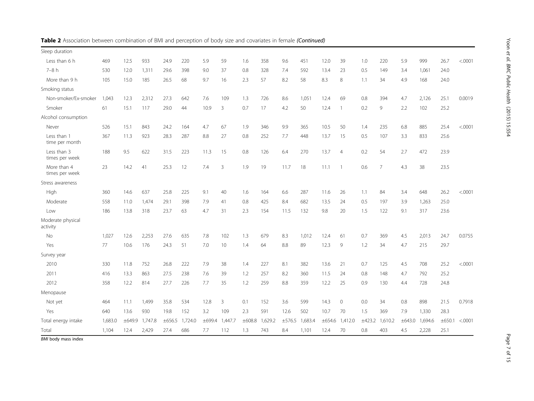## Table 2 Association between combination of BMI and perception of body size and covariates in female (Continued)

| Sleep duration                |         |        |         |        |         |        |                |        |         |        |         |        |                |        |                |        |         |        |         |
|-------------------------------|---------|--------|---------|--------|---------|--------|----------------|--------|---------|--------|---------|--------|----------------|--------|----------------|--------|---------|--------|---------|
| Less than 6 h                 | 469     | 12.5   | 933     | 24.9   | 220     | 5.9    | 59             | 1.6    | 358     | 9.6    | 451     | 12.0   | 39             | 1.0    | 220            | 5.9    | 999     | 26.7   | < .0001 |
| 7-8 h                         | 530     | 12.0   | 1,311   | 29.6   | 398     | 9.0    | 37             | 0.8    | 328     | 7.4    | 592     | 13.4   | 23             | 0.5    | 149            | 3.4    | 1,061   | 24.0   |         |
| More than 9 h                 | 105     | 15.0   | 185     | 26.5   | 68      | 9.7    | 16             | 2.3    | 57      | 8.2    | 58      | 8.3    | 8              | 1.1    | 34             | 4.9    | 168     | 24.0   |         |
| Smoking status                |         |        |         |        |         |        |                |        |         |        |         |        |                |        |                |        |         |        |         |
| Non-smoker/Ex-smoker          | 1,043   | 12.3   | 2,312   | 27.3   | 642     | 7.6    | 109            | 1.3    | 726     | 8.6    | 1.051   | 12.4   | 69             | 0.8    | 394            | 4.7    | 2,126   | 25.1   | 0.0019  |
| Smoker                        | 61      | 15.1   | 117     | 29.0   | 44      | 10.9   | $\overline{3}$ | 0.7    | 17      | 4.2    | 50      | 12.4   | $\overline{1}$ | 0.2    | 9              | 2.2    | 102     | 25.2   |         |
| Alcohol consumption           |         |        |         |        |         |        |                |        |         |        |         |        |                |        |                |        |         |        |         |
| Never                         | 526     | 15.1   | 843     | 24.2   | 164     | 4.7    | 67             | 1.9    | 346     | 9.9    | 365     | 10.5   | 50             | 1.4    | 235            | 6.8    | 885     | 25.4   | < .0001 |
| Less than 1<br>time per month | 367     | 11.3   | 923     | 28.3   | 287     | 8.8    | 27             | 0.8    | 252     | 7.7    | 448     | 13.7   | 15             | 0.5    | 107            | 3.3    | 833     | 25.6   |         |
| Less than 3<br>times per week | 188     | 9.5    | 622     | 31.5   | 223     | 11.3   | 15             | 0.8    | 126     | 6.4    | 270     | 13.7   | $\overline{4}$ | 0.2    | 54             | 2.7    | 472     | 23.9   |         |
| More than 4<br>times per week | 23      | 14.2   | 41      | 25.3   | 12      | 7.4    | 3              | 1.9    | 19      | 11.7   | 18      | 11.1   | $\overline{1}$ | 0.6    | $\overline{7}$ | 4.3    | 38      | 23.5   |         |
| Stress awareness              |         |        |         |        |         |        |                |        |         |        |         |        |                |        |                |        |         |        |         |
| High                          | 360     | 14.6   | 637     | 25.8   | 225     | 9.1    | 40             | 1.6    | 164     | 6.6    | 287     | 11.6   | 26             | 1.1    | 84             | 3.4    | 648     | 26.2   | < .0001 |
| Moderate                      | 558     | 11.0   | 1,474   | 29.1   | 398     | 7.9    | 41             | 0.8    | 425     | 8.4    | 682     | 13.5   | 24             | 0.5    | 197            | 3.9    | 1,263   | 25.0   |         |
| Low                           | 186     | 13.8   | 318     | 23.7   | 63      | 4.7    | 31             | 2.3    | 154     | 11.5   | 132     | 9.8    | 20             | 1.5    | 122            | 9.1    | 317     | 23.6   |         |
| Moderate physical<br>activity |         |        |         |        |         |        |                |        |         |        |         |        |                |        |                |        |         |        |         |
| <b>No</b>                     | 1,027   | 12.6   | 2,253   | 27.6   | 635     | 7.8    | 102            | 1.3    | 679     | 8.3    | 1,012   | 12.4   | 61             | 0.7    | 369            | 4.5    | 2,013   | 24.7   | 0.0755  |
| Yes                           | 77      | 10.6   | 176     | 24.3   | 51      | 7.0    | 10             | 1.4    | 64      | 8.8    | 89      | 12.3   | 9              | 1.2    | 34             | 4.7    | 215     | 29.7   |         |
| Survey year                   |         |        |         |        |         |        |                |        |         |        |         |        |                |        |                |        |         |        |         |
| 2010                          | 330     | 11.8   | 752     | 26.8   | 222     | 7.9    | 38             | 1.4    | 227     | 8.1    | 382     | 13.6   | 21             | 0.7    | 125            | 4.5    | 708     | 25.2   | < .0001 |
| 2011                          | 416     | 13.3   | 863     | 27.5   | 238     | 7.6    | 39             | 1.2    | 257     | 8.2    | 360     | 11.5   | 24             | 0.8    | 148            | 4.7    | 792     | 25.2   |         |
| 2012                          | 358     | 12.2   | 814     | 27.7   | 226     | 7.7    | 35             | 1.2    | 259     | 8.8    | 359     | 12.2   | 25             | 0.9    | 130            | 4.4    | 728     | 24.8   |         |
| Menopause                     |         |        |         |        |         |        |                |        |         |        |         |        |                |        |                |        |         |        |         |
| Not yet                       | 464     | 11.1   | 1,499   | 35.8   | 534     | 12.8   | 3              | 0.1    | 152     | 3.6    | 599     | 14.3   | $\circ$        | 0.0    | 34             | 0.8    | 898     | 21.5   | 0.7918  |
| Yes                           | 640     | 13.6   | 930     | 19.8   | 152     | 3.2    | 109            | 2.3    | 591     | 12.6   | 502     | 10.7   | 70             | 1.5    | 369            | 7.9    | 1,330   | 28.3   |         |
| Total energy intake           | 1,683.0 | ±649.9 | 1,747.8 | ±656.5 | 1,724.0 | ±699.4 | 1.447.7        | ±608.8 | 1,629.2 | ±576.5 | 1,683.4 | ±654.6 | 1,412.0        | ±423.2 | 1,610.2        | ±643.0 | 1,694.6 | ±650.1 | < 0001  |
| Total                         | 1,104   | 12.4   | 2,429   | 27.4   | 686     | 7.7    | 112            | 1.3    | 743     | 8.4    | 1,101   | 12.4   | 70             | 0.8    | 403            | 4.5    | 2,228   | 25.1   |         |

**BMI** body mass index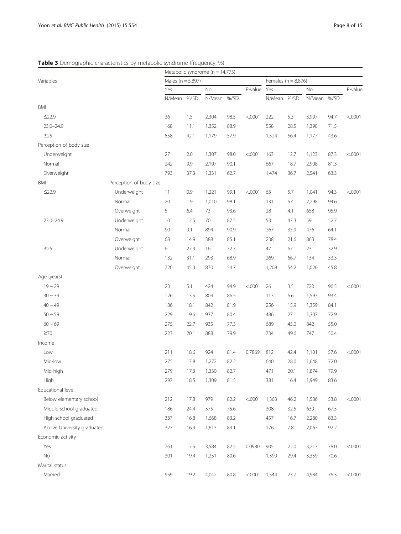## <span id="page-7-0"></span>Table 3 Demographic characteristics by metabolic syndrome (frequency, %)

|                            | Metabolic syndrome ( $n = 14,773$ ) |                       |      |        |      |         |                         |      |        |      |         |
|----------------------------|-------------------------------------|-----------------------|------|--------|------|---------|-------------------------|------|--------|------|---------|
| Variables                  |                                     | Males ( $n = 5,897$ ) |      |        |      |         | Females ( $n = 8,876$ ) |      |        |      |         |
|                            |                                     | Yes                   |      | No     |      | P-value | Yes                     |      | No     |      | P-value |
|                            |                                     | N/Mean %/SD           |      | N/Mean | %/SD |         | N/Mean %/SD             |      | N/Mean | %/SD |         |
| BMI                        |                                     |                       |      |        |      |         |                         |      |        |      |         |
| ≤22.9                      |                                     | 36                    | 1.5  | 2,304  | 98.5 | < .0001 | 222                     | 5.3  | 3,997  | 94.7 | < .0001 |
| $23.0 - 24.9$              |                                     | 168                   | 11.1 | 1,352  | 88.9 |         | 558                     | 28.5 | 1,398  | 71.5 |         |
| $\geq$ 25                  |                                     | 858                   | 42.1 | 1,179  | 57.9 |         | 1,524                   | 56.4 | 1,177  | 43.6 |         |
| Perception of body size    |                                     |                       |      |        |      |         |                         |      |        |      |         |
| Underweight                |                                     | 27                    | 2.0  | 1,307  | 98.0 | < .0001 | 163                     | 12.7 | 1,123  | 87.3 | < .0001 |
| Normal                     |                                     | 242                   | 9.9  | 2,197  | 90.1 |         | 667                     | 18.7 | 2,908  | 81.3 |         |
| Overweight                 |                                     | 793                   | 37.3 | 1,331  | 62.7 |         | 1,474                   | 36.7 | 2,541  | 63.3 |         |
| <b>BMI</b>                 | Perception of body size             |                       |      |        |      |         |                         |      |        |      |         |
| ≤22.9                      | Underweight                         | 11                    | 0.9  | 1,221  | 99.1 | < .0001 | 63                      | 5.7  | 1,041  | 94.3 | < .0001 |
|                            | Normal                              | 20                    | 1.9  | 1,010  | 98.1 |         | 131                     | 5.4  | 2,298  | 94.6 |         |
|                            | Overweight                          | 5                     | 6.4  | 73     | 93.6 |         | 28                      | 4.1  | 658    | 95.9 |         |
| $23.0 - 24.9$              | Underweight                         | 10                    | 12.5 | 70     | 87.5 |         | 53                      | 47.3 | 59     | 52.7 |         |
|                            | Normal                              | 90                    | 9.1  | 894    | 90.9 |         | 267                     | 35.9 | 476    | 64.1 |         |
|                            | Overweight                          | 68                    | 14.9 | 388    | 85.1 |         | 238                     | 21.6 | 863    | 78.4 |         |
| $\geq$ 25                  | Underweight                         | 6                     | 27.3 | 16     | 72.7 |         | $47\,$                  | 67.1 | 23     | 32.9 |         |
|                            | Normal                              | 132                   | 31.1 | 293    | 68.9 |         | 269                     | 66.7 | 134    | 33.3 |         |
|                            | Overweight                          | 720                   | 45.3 | 870    | 54.7 |         | 1,208                   | 54.2 | 1,020  | 45.8 |         |
| Age (years)                |                                     |                       |      |        |      |         |                         |      |        |      |         |
| $19 - 29$                  |                                     | 23                    | 5.1  | 424    | 94.9 | < .0001 | 26                      | 3.5  | 720    | 96.5 | < .0001 |
| $30 - 39$                  |                                     | 126                   | 13.5 | 809    | 86.5 |         | 113                     | 6.6  | 1,597  | 93.4 |         |
| $40 \sim 49$               |                                     | 186                   | 18.1 | 842    | 81.9 |         | 256                     | 15.9 | 1,359  | 84.1 |         |
| $50 - 59$                  |                                     | 229                   | 19.6 | 937    | 80.4 |         | 486                     | 27.1 | 1,307  | 72.9 |         |
| $60 - 69$                  |                                     | 275                   | 22.7 | 935    | 77.3 |         | 689                     | 45.0 | 842    | 55.0 |         |
| $\geq 70$                  |                                     | 223                   | 20.1 | 888    | 79.9 |         | 734                     | 49.6 | 747    | 50.4 |         |
| Income                     |                                     |                       |      |        |      |         |                         |      |        |      |         |
| Low                        |                                     | 211                   | 18.6 | 924    | 81.4 | 0.7869  | 812                     | 42.4 | 1,101  | 57.6 | < .0001 |
| Mid-low                    |                                     | 275                   | 17.8 | 1,272  | 82.2 |         | 640                     | 28.0 | 1,648  | 72.0 |         |
| Mid-high                   |                                     | 279                   | 17.3 | 1,330  | 82.7 |         | 471                     | 20.1 | 1,874  | 79.9 |         |
| High                       |                                     | 297                   | 18.5 | 1,309  | 81.5 |         | 381                     | 16.4 | 1,949  | 83.6 |         |
| Educational level          |                                     |                       |      |        |      |         |                         |      |        |      |         |
| Below elementary school    |                                     | 212                   | 17.8 | 979    | 82.2 | < .0001 | 1,363                   | 46.2 | 1,586  | 53.8 | < .0001 |
| Middle school graduated    |                                     | 186                   | 24.4 | 575    | 75.6 |         | 308                     | 32.5 | 639    | 67.5 |         |
| High school graduated      |                                     | 337                   | 16.8 | 1,668  | 83.2 |         | 457                     | 16.7 | 2,280  | 83.3 |         |
| Above University graduated |                                     | 327                   | 16.9 | 1,613  | 83.1 |         | 176                     | 7.8  | 2,067  | 92.2 |         |
| Economic activity          |                                     |                       |      |        |      |         |                         |      |        |      |         |
| Yes                        |                                     | 761                   | 17.5 | 3,584  | 82.5 | 0.0980  | 905                     | 22.0 | 3,213  | 78.0 | < .0001 |
| <b>No</b>                  |                                     | 301                   | 19.4 | 1,251  | 80.6 |         | 1,399                   | 29.4 | 3,359  | 70.6 |         |
| Marital status             |                                     |                       |      |        |      |         |                         |      |        |      |         |
| Married                    |                                     | 959                   | 19.2 | 4,042  | 80.8 | < .0001 | 1,544                   | 23.7 | 4,984  | 76.3 | < .0001 |
|                            |                                     |                       |      |        |      |         |                         |      |        |      |         |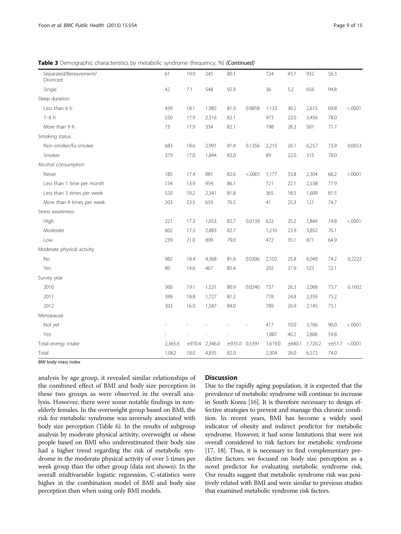**Table 3** Demographic characteristics by metabolic syndrome (frequency, %) (Continued)

| Separated/Bereavement/<br>Divorced | 61      | 19.9        | 245     | 80.1          |         | 724     | 43.7   | 932     | 56.3   |         |
|------------------------------------|---------|-------------|---------|---------------|---------|---------|--------|---------|--------|---------|
| Single                             | 42      | 7.1         | 548     | 92.9          |         | 36      | 5.2    | 656     | 94.8   |         |
| Sleep duration                     |         |             |         |               |         |         |        |         |        |         |
| Less than 6 h                      | 439     | 18.1        | 1,985   | 81.9          | 0.9858  | 1,133   | 30.2   | 2,615   | 69.8   | < .0001 |
| $7-8h$                             | 550     | 17.9        | 2,516   | 82.1          |         | 973     | 22.0   | 3,456   | 78.0   |         |
| More than 9 h                      | 73      | 17.9        | 334     | 82.1          |         | 198     | 28.3   | 501     | 71.7   |         |
| Smoking status                     |         |             |         |               |         |         |        |         |        |         |
| Non-smoker/Ex-smoker               | 683     | 18.6        | 2,991   | 81.4          | 0.1356  | 2,215   | 26.1   | 6,257   | 73.9   | 0.0653  |
| Smoker                             | 379     | 17.0        | 1,844   | 83.0          |         | 89      | 22.0   | 315     | 78.0   |         |
| Alcohol consumption                |         |             |         |               |         |         |        |         |        |         |
| Never                              | 185     | 17.4        | 881     | 82.6          | < .0001 | 1,177   | 33.8   | 2,304   | 66.2   | < .0001 |
| Less than 1 time per month         | 154     | 13.9        | 954     | 86.1          |         | 721     | 22.1   | 2,538   | 77.9   |         |
| Less than 3 times per week         | 520     | 18.2        | 2,341   | 81.8          |         | 365     | 18.5   | 1,609   | 81.5   |         |
| More than 4 times per week         | 203     | 23.5        | 659     | 76.5          |         | 41      | 25.3   | 121     | 74.7   |         |
| Stress awareness                   |         |             |         |               |         |         |        |         |        |         |
| High                               | 221     | 17.3        | 1,053   | 82.7          | 0.0139  | 622     | 25.2   | 1,849   | 74.8   | < .0001 |
| Moderate                           | 602     | 17.3        | 2,883   | 82.7          |         | 1,210   | 23.9   | 3,852   | 76.1   |         |
| Low                                | 239     | 21.0        | 899     | 79.0          |         | 472     | 35.1   | 871     | 64.9   |         |
| Moderate physical activity         |         |             |         |               |         |         |        |         |        |         |
| No                                 | 982     | 18.4        | 4,368   | 81.6          | 0.0306  | 2,102   | 25.8   | 6,049   | 74.2   | 0.2222  |
| Yes                                | 80      | 14.6        | 467     | 85.4          |         | 202     | 27.9   | 523     | 72.1   |         |
| Survey year                        |         |             |         |               |         |         |        |         |        |         |
| 2010                               | 360     | 19.1        | 1,521   | 80.9          | 0.0240  | 737     | 26.3   | 2,068   | 73.7   | 0.1602  |
| 2011                               | 399     | 18.8        | 1,727   | 81.2          |         | 778     | 24.8   | 2,359   | 75.2   |         |
| 2012                               | 303     | 16.0        | 1,587   | 84.0          |         | 789     | 26.9   | 2,145   | 73.1   |         |
| Menopause                          |         |             |         |               |         |         |        |         |        |         |
| Not yet                            |         |             |         |               |         | 417     | 10.0   | 3,766   | 90.0   | < .0001 |
| Yes                                |         |             |         |               |         | 1,887   | 40.2   | 2,806   | 59.8   |         |
| Total energy intake                | 2,365.6 | $\pm 970.4$ | 2,346.0 | ±935.0 0.5391 |         | 1,619.0 | ±640.1 | 1,720.2 | ±651.7 | < .0001 |
| Total                              | 1,062   | 18.0        | 4,835   | 82.0          |         | 2,304   | 26.0   | 6,572   | 74.0   |         |

BMI body mass index

analysis by age group, it revealed similar relationships of the combined effect of BMI and body size perception in these two groups as were observed in the overall analysis. However, there were some notable findings in nonelderly females. In the overweight group based on BMI, the risk for metabolic syndrome was inversely associated with body size perception (Table [6](#page-13-0)). In the results of subgroup analysis by moderate physical activity, overweight or obese people based on BMI who underestimated their body size had a higher trend regarding the risk of metabolic syndrome in the moderate physical activity of over 5 times per week group than the other group (data not shown). In the overall multivariable logistic regression, C-statistics were higher in the combination model of BMI and body size perception than when using only BMI models.

## **Discussion**

Due to the rapidly aging population, it is expected that the prevalence of metabolic syndrome will continue to increase in South Korea [\[16](#page-14-0)]. It is therefore necessary to design effective strategies to prevent and manage this chronic condition. In recent years, BMI has become a widely used indicator of obesity and indirect predictor for metabolic syndrome. However, it had some limitations that were not overall considered to risk factors for metabolic syndrome [[17](#page-14-0), [18](#page-14-0)]. Thus, it is necessary to find complementary predictive factors; we focused on body size perception as a novel predictor for evaluating metabolic syndrome risk. Our results suggest that metabolic syndrome risk was positively related with BMI and were similar to previous studies that examined metabolic syndrome risk factors.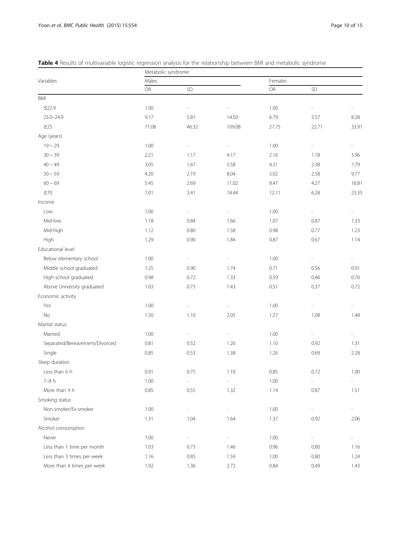<span id="page-9-0"></span>

| <b>Table 4</b> Results of multivariable logistic regression analysis for the relationship between BMI and metabolic syndrome |  |  |
|------------------------------------------------------------------------------------------------------------------------------|--|--|
|------------------------------------------------------------------------------------------------------------------------------|--|--|

|                                | Metabolic syndrome |                          |                          |               |                |                          |
|--------------------------------|--------------------|--------------------------|--------------------------|---------------|----------------|--------------------------|
| Variables                      | Males              |                          |                          | Females       |                |                          |
|                                | ${\sf OR}$         | SD                       |                          | $\mathsf{OR}$ | SD             |                          |
| BMI                            |                    |                          |                          |               |                |                          |
| ≤22.9                          | 1.00               |                          |                          | 1.00          | $\overline{a}$ |                          |
| $23.0 - 24.9$                  | 9.17               | 5.81                     | 14.50                    | 6.79          | 5.57           | 8.28                     |
| $\geq$ 25                      | 71.08              | 46.32                    | 109.08                   | 27.75         | 22.71          | 33.91                    |
| Age (years)                    |                    |                          |                          |               |                |                          |
| $19 - 29$                      | 1.00               |                          |                          | 1.00          |                |                          |
| $30 \sim 39$                   | 2.21               | 1.17                     | 4.17                     | 2.16          | 1.18           | 3.96                     |
| $40 - 49$                      | 3.05               | 1.67                     | 5.58                     | 4.31          | 2.38           | 7.79                     |
| $50 - 59$                      | 4.20               | 2.19                     | 8.04                     | 5.02          | 2.58           | 9.77                     |
| $60 - 69$                      | 5.45               | 2.69                     | 11.02                    | 8.47          | 4.27           | 16.81                    |
| $\geq$ 70                      | 7.01               | 3.41                     | 14.44                    | 12.11         | 6.28           | 23.35                    |
| Income                         |                    |                          |                          |               |                |                          |
| Low                            | 1.00               | ÷,                       | $\overline{\phantom{0}}$ | 1.00          | $\frac{1}{2}$  |                          |
| Mid-low                        | 1.18               | 0.84                     | 1.66                     | 1.07          | 0.87           | 1.33                     |
| Mid-high                       | 1.12               | 0.80                     | 1.58                     | 0.98          | 0.77           | 1.23                     |
| High                           | 1.29               | 0.90                     | 1.84                     | 0.87          | 0.67           | 1.14                     |
| Educational level              |                    |                          |                          |               |                |                          |
| Below elementary school        | 1.00               |                          |                          | 1.00          |                |                          |
| Middle school graduated        | 1.25               | 0.90                     | 1.74                     | 0.71          | 0.56           | 0.91                     |
| High school graduated          | 0.98               | 0.72                     | 1.33                     | 0.59          | 0.46           | 0.76                     |
| Above University graduated     | 1.03               | 0.73                     | 1.43                     | 0.51          | 0.37           | 0.72                     |
| Economic activity              |                    |                          |                          |               |                |                          |
| Yes                            | 1.00               |                          |                          | 1.00          |                |                          |
| No                             | 1.50               | 1.10                     | 2.05                     | 1.27          | 1.08           | 1.48                     |
| Marital status                 |                    |                          |                          |               |                |                          |
| Married                        | 1.00               | L,                       |                          | 1.00          | ä,             |                          |
| Separated/Bereavement/Divorced | 0.81               | 0.52                     | 1.26                     | 1.10          | 0.92           | 1.31                     |
| Single                         | 0.85               | 0.53                     | 1.38                     | 1.26          | 0.69           | 2.28                     |
| Sleep duration                 |                    |                          |                          |               |                |                          |
| Less than 6 h                  | 0.91               | 0.75                     | 1.10                     | 0.85          | 0.72           | 1.00                     |
| 7-8 h                          | 1.00               | $\overline{\phantom{a}}$ |                          | 1.00          | $\overline{a}$ |                          |
| More than 9 h                  | 0.85               | 0.55                     | 1.32                     | 1.14          | 0.87           | 1.51                     |
| Smoking status                 |                    |                          |                          |               |                |                          |
| Non-smoker/Ex-smoker           | 1.00               | $\overline{\phantom{a}}$ | $\frac{1}{2}$            | 1.00          | $\frac{1}{2}$  | $\overline{\phantom{a}}$ |
| Smoker                         | 1.31               | 1.04                     | 1.64                     | 1.37          | 0.92           | 2.06                     |
| Alcohol consumption            |                    |                          |                          |               |                |                          |
| Never                          | 1.00               | $\overline{\phantom{a}}$ |                          | 1.00          | $\frac{1}{2}$  | $\overline{\phantom{a}}$ |
| Less than 1 time per month     | 1.03               | 0.73                     | 1.46                     | 0.96          | 0.80           | 1.16                     |
| Less than 3 times per week     | 1.16               | 0.85                     | 1.59                     | 1.00          | 0.80           | 1.24                     |
| More than 4 times per week     | 1.92               | 1.36                     | 2.72                     | 0.84          | 0.49           | 1.43                     |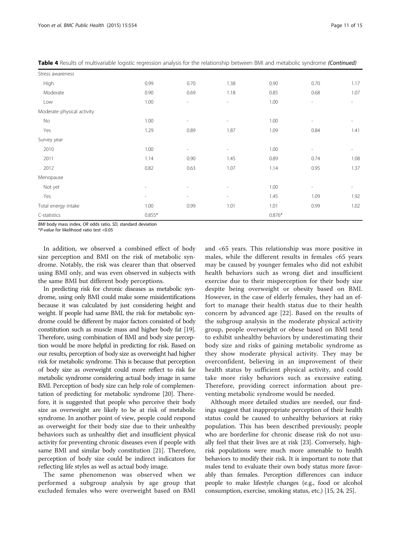Table 4 Results of multivariable logistic regression analysis for the relationship between BMI and metabolic syndrome (Continued)

| Stress awareness           |                          |                          |                          |          |                          |                          |
|----------------------------|--------------------------|--------------------------|--------------------------|----------|--------------------------|--------------------------|
| High                       | 0.99                     | 0.70                     | 1.38                     | 0.90     | 0.70                     | 1.17                     |
| Moderate                   | 0.90                     | 0.69                     | 1.18                     | 0.85     | 0.68                     | 1.07                     |
| Low                        | 1.00                     | $\overline{\phantom{a}}$ | $\sim$                   | 1.00     | $\overline{\phantom{a}}$ | $\overline{\phantom{a}}$ |
| Moderate physical activity |                          |                          |                          |          |                          |                          |
| No                         | 1.00                     | $\overline{\phantom{a}}$ | $\overline{\phantom{a}}$ | 1.00     | $\overline{\phantom{a}}$ | $\overline{\phantom{a}}$ |
| Yes                        | 1.29                     | 0.89                     | 1.87                     | 1.09     | 0.84                     | 1.41                     |
| Survey year                |                          |                          |                          |          |                          |                          |
| 2010                       | 1.00                     | $\overline{\phantom{a}}$ | $\overline{\phantom{a}}$ | 1.00     | ۰                        | $\overline{\phantom{a}}$ |
| 2011                       | 1.14                     | 0.90                     | 1.45                     | 0.89     | 0.74                     | 1.08                     |
| 2012                       | 0.82                     | 0.63                     | 1.07                     | 1.14     | 0.95                     | 1.37                     |
| Menopause                  |                          |                          |                          |          |                          |                          |
| Not yet                    | $\overline{\phantom{a}}$ | $\overline{\phantom{a}}$ | $\sim$                   | 1.00     | ٠.                       | $\overline{\phantom{a}}$ |
| Yes                        | $\overline{\phantom{a}}$ | $\overline{\phantom{a}}$ | $\sim$                   | 1.45     | 1.09                     | 1.92                     |
| Total energy intake        | 1.00                     | 0.99                     | 1.01                     | 1.01     | 0.99                     | 1.02                     |
| C-statistics               | $0.855*$                 |                          |                          | $0.876*$ |                          |                          |

BMI body mass index, OR odds ratio, SD, standard deviation

\*P-value for likelihood ratio test <0.05

In addition, we observed a combined effect of body size perception and BMI on the risk of metabolic syndrome. Notably, the risk was clearer than that observed using BMI only, and was even observed in subjects with the same BMI but different body perceptions.

In predicting risk for chronic diseases as metabolic syndrome, using only BMI could make some misidentifications because it was calculated by just considering height and weight. If people had same BMI, the risk for metabolic syndrome could be different by major factors consisted of body constitution such as muscle mass and higher body fat [\[19](#page-14-0)]. Therefore, using combination of BMI and body size perception would be more helpful in predicting for risk. Based on our results, perception of body size as overweight had higher risk for metabolic syndrome. This is because that perception of body size as overweight could more reflect to risk for metabolic syndrome considering actual body image in same BMI. Perception of body size can help role of complementation of predicting for metabolic syndrome [[20](#page-14-0)]. Therefore, it is suggested that people who perceive their body size as overweight are likely to be at risk of metabolic syndrome. In another point of view, people could respond as overweight for their body size due to their unhealthy behaviors such as unhealthy diet and insufficient physical activity for preventing chronic diseases even if people with same BMI and similar body constitution [\[21](#page-14-0)]. Therefore, perception of body size could be indirect indicators for reflecting life styles as well as actual body image.

The same phenomenon was observed when we performed a subgroup analysis by age group that excluded females who were overweight based on BMI

and <65 years. This relationship was more positive in males, while the different results in females <65 years may be caused by younger females who did not exhibit health behaviors such as wrong diet and insufficient exercise due to their misperception for their body size despite being overweight or obesity based on BMI. However, in the case of elderly females, they had an effort to manage their health status due to their health concern by advanced age [[22\]](#page-14-0). Based on the results of the subgroup analysis in the moderate physical activity group, people overweight or obese based on BMI tend to exhibit unhealthy behaviors by underestimating their body size and risks of gaining metabolic syndrome as they show moderate physical activity. They may be overconfident, believing in an improvement of their health status by sufficient physical activity, and could take more risky behaviors such as excessive eating. Therefore, providing correct information about preventing metabolic syndrome would be needed.

Although more detailed studies are needed, our findings suggest that inappropriate perception of their health status could be caused to unhealthy behaviors at risky population. This has been described previously; people who are borderline for chronic disease risk do not usually feel that their lives are at risk [[23](#page-14-0)]. Conversely, highrisk populations were much more amenable to health behaviors to modify their risk. It is important to note that males tend to evaluate their own body status more favorably than females. Perception differences can induce people to make lifestyle changes (e.g., food or alcohol consumption, exercise, smoking status, etc.) [\[15, 24](#page-14-0), [25\]](#page-14-0).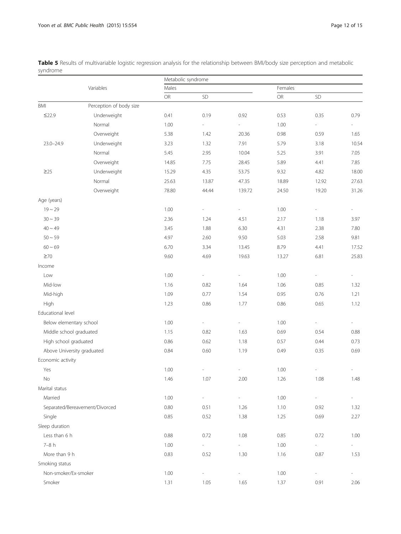<span id="page-11-0"></span>

| Table 5 Results of multivariable logistic regression analysis for the relationship between BMI/body size perception and metabolic |  |  |
|-----------------------------------------------------------------------------------------------------------------------------------|--|--|
| syndrome                                                                                                                          |  |  |

|                            |                                | Metabolic syndrome |                          |                          |               |                          |                          |
|----------------------------|--------------------------------|--------------------|--------------------------|--------------------------|---------------|--------------------------|--------------------------|
|                            | Variables                      | Males              |                          |                          | Females       |                          |                          |
|                            |                                | ${\sf OR}$         | SD                       |                          | $\mathsf{OR}$ | SD                       |                          |
| BMI                        | Perception of body size        |                    |                          |                          |               |                          |                          |
| $\leq$ 22.9                | Underweight                    | 0.41               | 0.19                     | 0.92                     | 0.53          | 0.35                     | 0.79                     |
|                            | Normal                         | 1.00               | $\overline{\phantom{a}}$ | $\overline{\phantom{a}}$ | 1.00          | $\overline{\phantom{0}}$ |                          |
|                            | Overweight                     | 5.38               | 1.42                     | 20.36                    | 0.98          | 0.59                     | 1.65                     |
| $23.0 - 24.9$              | Underweight                    | 3.23               | 1.32                     | 7.91                     | 5.79          | 3.18                     | 10.54                    |
|                            | Normal                         | 5.45               | 2.95                     | 10.04                    | 5.25          | 3.91                     | 7.05                     |
|                            | Overweight                     | 14.85              | 7.75                     | 28.45                    | 5.89          | 4.41                     | 7.85                     |
| $\geq$ 25                  | Underweight                    | 15.29              | 4.35                     | 53.75                    | 9.32          | 4.82                     | 18.00                    |
|                            | Normal                         | 25.63              | 13.87                    | 47.35                    | 18.89         | 12.92                    | 27.63                    |
|                            | Overweight                     | 78.80              | 44.44                    | 139.72                   | 24.50         | 19.20                    | 31.26                    |
| Age (years)                |                                |                    |                          |                          |               |                          |                          |
| $19 - 29$                  |                                | 1.00               | $\overline{\phantom{m}}$ | $\overline{\phantom{a}}$ | 1.00          |                          |                          |
| $30 \sim 39$               |                                | 2.36               | 1.24                     | 4.51                     | 2.17          | 1.18                     | 3.97                     |
| $40 \sim 49$               |                                | 3.45               | 1.88                     | 6.30                     | 4.31          | 2.38                     | 7.80                     |
| $50 \sim 59$               |                                | 4.97               | 2.60                     | 9.50                     | 5.03          | 2.58                     | 9.81                     |
| $60 - 69$                  |                                | 6.70               | 3.34                     | 13.45                    | 8.79          | 4.41                     | 17.52                    |
| $\geq 70$                  |                                | 9.60               | 4.69                     | 19.63                    | 13.27         | 6.81                     | 25.83                    |
| Income                     |                                |                    |                          |                          |               |                          |                          |
| Low                        |                                | 1.00               | $\overline{\phantom{a}}$ | $\overline{\phantom{a}}$ | 1.00          | $\frac{1}{2}$            | $\frac{1}{2}$            |
| Mid-low                    |                                | 1.16               | 0.82                     | 1.64                     | 1.06          | 0.85                     | 1.32                     |
| Mid-high                   |                                | 1.09               | 0.77                     | 1.54                     | 0.95          | 0.76                     | 1.21                     |
| High                       |                                | 1.23               | 0.86                     | 1.77                     | 0.86          | 0.65                     | 1.12                     |
| Educational level          |                                |                    |                          |                          |               |                          |                          |
| Below elementary school    |                                | 1.00               | $\overline{\phantom{a}}$ | $\overline{\phantom{a}}$ | 1.00          | $\overline{\phantom{a}}$ | $\overline{\phantom{0}}$ |
| Middle school graduated    |                                | 1.15               | 0.82                     | 1.63                     | 0.69          | 0.54                     | 0.88                     |
| High school graduated      |                                | 0.86               | 0.62                     | 1.18                     | 0.57          | 0.44                     | 0.73                     |
| Above University graduated |                                | 0.84               | 0.60                     | 1.19                     | 0.49          | 0.35                     | 0.69                     |
| Economic activity          |                                |                    |                          |                          |               |                          |                          |
| Yes                        |                                | 1.00               |                          |                          | 1.00          |                          |                          |
| No                         |                                | 1.46               | 1.0/                     | 2.00                     | 1.26          | 1.08                     | 1.48                     |
| Marital status             |                                |                    |                          |                          |               |                          |                          |
| Married                    |                                | 1.00               | $\overline{\phantom{a}}$ | $\overline{\phantom{a}}$ | 1.00          | $\frac{1}{2}$            |                          |
|                            | Separated/Bereavement/Divorced | 0.80               | 0.51                     | 1.26                     | 1.10          | 0.92                     | 1.32                     |
| Single                     |                                | 0.85               | 0.52                     | 1.38                     | 1.25          | 0.69                     | 2.27                     |
| Sleep duration             |                                |                    |                          |                          |               |                          |                          |
| Less than 6 h              |                                | 0.88               | 0.72                     | 1.08                     | 0.85          | 0.72                     | 1.00                     |
| 7-8 h                      |                                | 1.00               | $\sim$                   | $\overline{\phantom{a}}$ | 1.00          | $\overline{\phantom{0}}$ | $\sim$                   |
| More than 9 h              |                                | 0.83               | 0.52                     | 1.30                     | 1.16          | 0.87                     | 1.53                     |
| Smoking status             |                                |                    |                          |                          |               |                          |                          |
| Non-smoker/Ex-smoker       |                                | 1.00               | ÷,                       | $\overline{\phantom{a}}$ | 1.00          | $\overline{\phantom{0}}$ | $\overline{a}$           |
| Smoker                     |                                | 1.31               | 1.05                     | 1.65                     | 1.37          | 0.91                     | 2.06                     |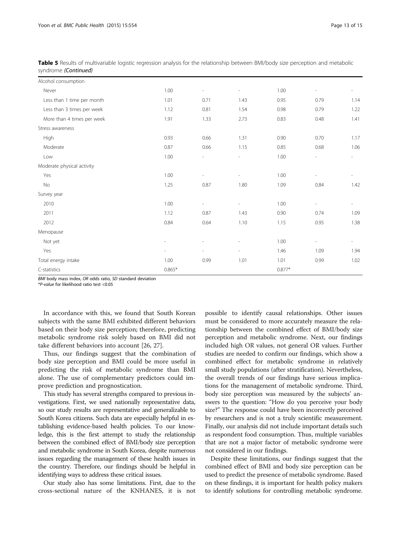| Alcohol consumption        |                |                          |                          |          |                          |                          |
|----------------------------|----------------|--------------------------|--------------------------|----------|--------------------------|--------------------------|
| Never                      | 1.00           | $\overline{\phantom{a}}$ | $\overline{\phantom{a}}$ | 1.00     | ٠                        | $\overline{\phantom{a}}$ |
| Less than 1 time per month | 1.01           | 0.71                     | 1.43                     | 0.95     | 0.79                     | 1.14                     |
| Less than 3 times per week | 1.12           | 0.81                     | 1.54                     | 0.98     | 0.79                     | 1.22                     |
| More than 4 times per week | 1.91           | 1.33                     | 2.73                     | 0.83     | 0.48                     | 1.41                     |
| Stress awareness           |                |                          |                          |          |                          |                          |
| High                       | 0.93           | 0.66                     | 1.31                     | 0.90     | 0.70                     | 1.17                     |
| Moderate                   | 0.87           | 0.66                     | 1.15                     | 0.85     | 0.68                     | 1.06                     |
| Low                        | 1.00           | $\overline{\phantom{a}}$ | $\overline{\phantom{a}}$ | 1.00     | $\overline{\phantom{a}}$ | $\overline{\phantom{a}}$ |
| Moderate physical activity |                |                          |                          |          |                          |                          |
| Yes                        | 1.00           | $\overline{\phantom{a}}$ | $\overline{\phantom{a}}$ | 1.00     | $\overline{\phantom{a}}$ | $\overline{\phantom{a}}$ |
| No                         | 1.25           | 0.87                     | 1.80                     | 1.09     | 0.84                     | 1.42                     |
| Survey year                |                |                          |                          |          |                          |                          |
| 2010                       | 1.00           | $\overline{\phantom{a}}$ | $\overline{a}$           | 1.00     |                          | $\overline{\phantom{a}}$ |
| 2011                       | 1.12           | 0.87                     | 1.43                     | 0.90     | 0.74                     | 1.09                     |
| 2012                       | 0.84           | 0.64                     | 1.10                     | 1.15     | 0.95                     | 1.38                     |
| Menopause                  |                |                          |                          |          |                          |                          |
| Not yet                    |                |                          | L.                       | 1.00     |                          | $\overline{\phantom{a}}$ |
| Yes                        | $\overline{a}$ | $\overline{\phantom{a}}$ | $\overline{\phantom{a}}$ | 1.46     | 1.09                     | 1.94                     |
| Total energy intake        | 1.00           | 0.99                     | 1.01                     | 1.01     | 0.99                     | 1.02                     |
| C-statistics               | $0.865*$       |                          |                          | $0.877*$ |                          |                          |

Table 5 Results of multivariable logistic regression analysis for the relationship between BMI/body size perception and metabolic syndrome (Continued)

BMI body mass index, OR odds ratio, SD standard deviation

\*P-value for likelihood ratio test <0.05

In accordance with this, we found that South Korean subjects with the same BMI exhibited different behaviors based on their body size perception; therefore, predicting metabolic syndrome risk solely based on BMI did not take different behaviors into account [\[26, 27\]](#page-14-0).

Thus, our findings suggest that the combination of body size perception and BMI could be more useful in predicting the risk of metabolic syndrome than BMI alone. The use of complementary predictors could improve prediction and prognostication.

This study has several strengths compared to previous investigations. First, we used nationally representative data, so our study results are representative and generalizable to South Korea citizens. Such data are especially helpful in establishing evidence-based health policies. To our knowledge, this is the first attempt to study the relationship between the combined effect of BMI/body size perception and metabolic syndrome in South Korea, despite numerous issues regarding the management of these health issues in the country. Therefore, our findings should be helpful in identifying ways to address these critical issues.

Our study also has some limitations. First, due to the cross-sectional nature of the KNHANES, it is not

possible to identify causal relationships. Other issues must be considered to more accurately measure the relationship between the combined effect of BMI/body size perception and metabolic syndrome. Next, our findings included high OR values, not general OR values. Further studies are needed to confirm our findings, which show a combined effect for metabolic syndrome in relatively small study populations (after stratification). Nevertheless, the overall trends of our findings have serious implications for the management of metabolic syndrome. Third, body size perception was measured by the subjects' answers to the question: "How do you perceive your body size?" The response could have been incorrectly perceived by researchers and is not a truly scientific measurement. Finally, our analysis did not include important details such as respondent food consumption. Thus, multiple variables that are not a major factor of metabolic syndrome were not considered in our findings.

Despite these limitations, our findings suggest that the combined effect of BMI and body size perception can be used to predict the presence of metabolic syndrome. Based on these findings, it is important for health policy makers to identify solutions for controlling metabolic syndrome.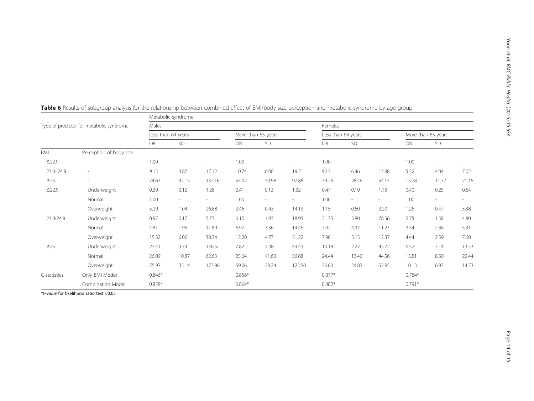|                                          |                          |                    | Metabolic syndrome |                    |           |                          |         |           |                    |                          |          |        |       |
|------------------------------------------|--------------------------|--------------------|--------------------|--------------------|-----------|--------------------------|---------|-----------|--------------------|--------------------------|----------|--------|-------|
| Type of predictor for metabolic syndrome |                          | Males              |                    |                    |           |                          | Females |           |                    |                          |          |        |       |
|                                          |                          | Less than 64 years |                    | More than 65 years |           | Less than 64 years       |         |           | More than 65 years |                          |          |        |       |
|                                          |                          | <b>OR</b>          | SD                 |                    | <b>OR</b> | SD                       |         | <b>OR</b> | SD                 |                          | OR       | SD     |       |
| BMI                                      | Perception of body size  |                    |                    |                    |           |                          |         |           |                    |                          |          |        |       |
| $\leq$ 22.9                              | $\overline{\phantom{a}}$ | 1.00               |                    | ٠                  | 1.00      | $\overline{\phantom{0}}$ |         | 1.00      |                    | $\overline{\phantom{a}}$ | 1.00     |        |       |
| $23.0 - 24.9$                            | $\overline{\phantom{a}}$ | 9.13               | 4.87               | 17.12              | 10.74     | 6.00                     | 19.21   | 9.13      | 6.46               | 12.88                    | 5.32     | 4.04   | 7.02  |
| $\geq$ 25                                |                          | 74.63              | 42.15              | 132.16             | 55.07     | 30.98                    | 97.88   | 39.26     | 28.46              | 54.15                    | 15.78    | 11.77  | 21.15 |
| $\leq$ 22.9                              | Underweight              | 0.39               | 0.12               | 1.28               | 0.41      | 0.13                     | 1.32    | 0.47      | 0.19               | 1.13                     | 0.40     | 0.25   | 0.64  |
|                                          | Normal                   | 1.00               | $\sim$             |                    | 1.00      | $\sim$                   |         | 1.00      | $\sim$             | $\overline{\phantom{a}}$ | 1.00     | $\sim$ | ۰.    |
|                                          | Overweight               | 5.29               | 1.04               | 26.88              | 2.46      | 0.43                     | 14.13   | 1.15      | 0.60               | 2.20                     | 1.25     | 0.47   | 3.38  |
| 23.0-24.9                                | Underweight              | 0.97               | 0.17               | 5.73               | 6.10      | 1.97                     | 18.95   | 21.35     | 5.80               | 78.56                    | 2.75     | 1.58   | 4.80  |
|                                          | Normal                   | 4.81               | 1.95               | 11.89              | 6.97      | 3.36                     | 14.46   | 7.02      | 4.37               | 11.27                    | 3.54     | 2.36   | 5.31  |
|                                          | Overweight               | 15.32              | 6.06               | 38.74              | 12.20     | 4.77                     | 31.22   | 7.96      | 5.13               | 12.37                    | 4.44     | 2.59   | 7.60  |
| $\geq$ 25                                | Underweight              | 23.41              | 3.74               | 146.52             | 7.82      | 1.38                     | 44.43   | 10.18     | 2.27               | 45.72                    | 6.52     | 3.14   | 13.53 |
|                                          | Normal                   | 26.09              | 10.87              | 62.63              | 25.64     | 11.60                    | 56.68   | 24.44     | 13.40              | 44.56                    | 13.81    | 8.50   | 22.44 |
|                                          | Overweight               | 75.93              | 33.14              | 173.96             | 59.06     | 28.24                    | 123.50  | 36.60     | 24.83              | 53.95                    | 10.13    | 6.97   | 14.73 |
| C-statistics                             | Only BMI Model           | $0.846*$           |                    |                    | $0.856*$  |                          |         | $0.877*$  |                    |                          | $0.784*$ |        |       |
|                                          | Combination Model        | $0.858*$           |                    |                    | $0.864*$  |                          |         | $0.882*$  |                    |                          | $0.791*$ |        |       |

<span id="page-13-0"></span>

| Table 6 Results of subgroup analysis for the relationship between combined effect of BMI/body size perception and metabolic syndrome by age group |  |  |
|---------------------------------------------------------------------------------------------------------------------------------------------------|--|--|
|---------------------------------------------------------------------------------------------------------------------------------------------------|--|--|

\*P-value for likelihood ratio test <0.05